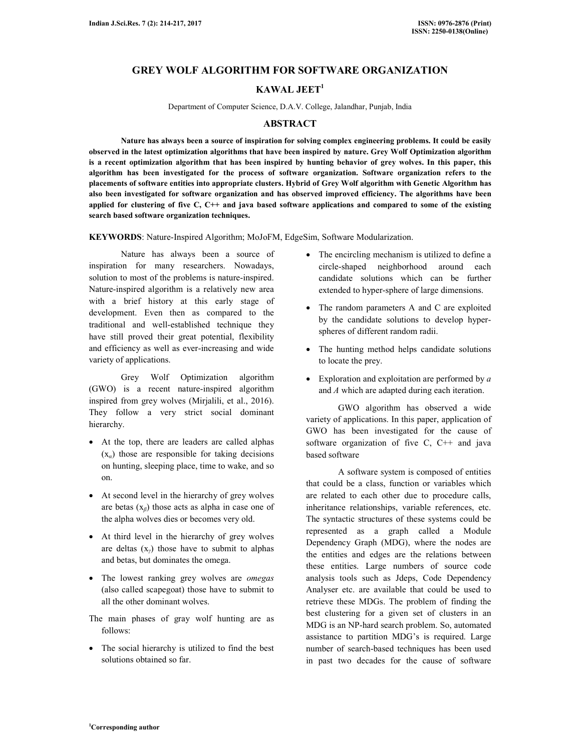## **GREY WOLF ALGORITHM FOR SOFTWARE ORGANIZATION**

# **KAWAL JEET<sup>1</sup>**

Department of Computer Science, D.A.V. College, Jalandhar, Punjab, India

#### **ABSTRACT**

 **Nature has always been a source of inspiration for solving complex engineering problems. It could be easily observed in the latest optimization algorithms that have been inspired by nature. Grey Wolf Optimization algorithm is a recent optimization algorithm that has been inspired by hunting behavior of grey wolves. In this paper, this algorithm has been investigated for the process of software organization. Software organization refers to the placements of software entities into appropriate clusters. Hybrid of Grey Wolf algorithm with Genetic Algorithm has also been investigated for software organization and has observed improved efficiency. The algorithms have been applied for clustering of five C, C++ and java based software applications and compared to some of the existing search based software organization techniques.** 

**KEYWORDS**: Nature-Inspired Algorithm; MoJoFM, EdgeSim, Software Modularization.

 Nature has always been a source of inspiration for many researchers. Nowadays, solution to most of the problems is nature-inspired. Nature-inspired algorithm is a relatively new area with a brief history at this early stage of development. Even then as compared to the traditional and well-established technique they have still proved their great potential, flexibility and efficiency as well as ever-increasing and wide variety of applications.

 Grey Wolf Optimization algorithm (GWO) is a recent nature-inspired algorithm inspired from grey wolves (Mirjalili, et al., 2016). They follow a very strict social dominant hierarchy.

- At the top, there are leaders are called alphas (x*α*) those are responsible for taking decisions on hunting, sleeping place, time to wake, and so on.
- At second level in the hierarchy of grey wolves are betas (x*β*) those acts as alpha in case one of the alpha wolves dies or becomes very old.
- At third level in the hierarchy of grey wolves are deltas (x*γ*) those have to submit to alphas and betas, but dominates the omega.
- The lowest ranking grey wolves are *omegas* (also called scapegoat) those have to submit to all the other dominant wolves.
- The main phases of gray wolf hunting are as follows:
- The social hierarchy is utilized to find the best solutions obtained so far.
- The encircling mechanism is utilized to define a circle-shaped neighborhood around each candidate solutions which can be further extended to hyper-sphere of large dimensions.
- The random parameters A and C are exploited by the candidate solutions to develop hyperspheres of different random radii.
- The hunting method helps candidate solutions to locate the prey.
- Exploration and exploitation are performed by *a* and *A* which are adapted during each iteration.

 GWO algorithm has observed a wide variety of applications. In this paper, application of GWO has been investigated for the cause of software organization of five  $C$ ,  $C++$  and java based software

 A software system is composed of entities that could be a class, function or variables which are related to each other due to procedure calls, inheritance relationships, variable references, etc. The syntactic structures of these systems could be represented as a graph called a Module Dependency Graph (MDG), where the nodes are the entities and edges are the relations between these entities. Large numbers of source code analysis tools such as Jdeps, Code Dependency Analyser etc. are available that could be used to retrieve these MDGs. The problem of finding the best clustering for a given set of clusters in an MDG is an NP-hard search problem. So, automated assistance to partition MDG's is required. Large number of search-based techniques has been used in past two decades for the cause of software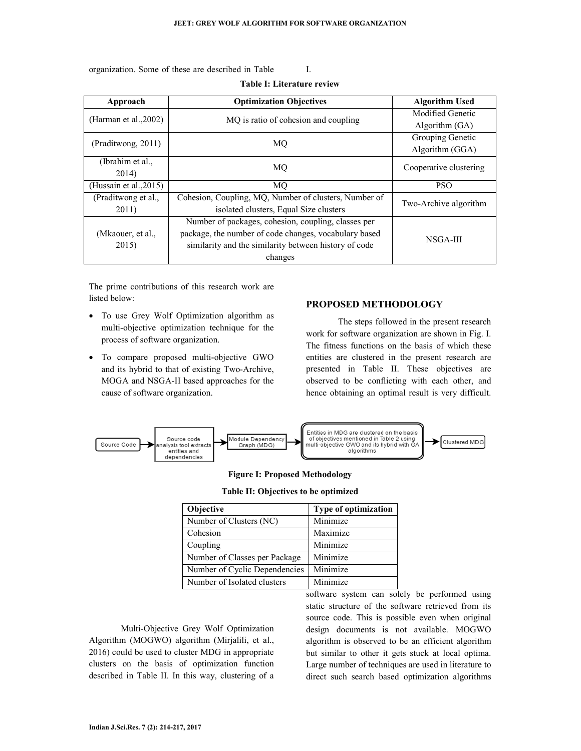**Table I: Literature review** 

organization. Some of these are described in Table I.

| Approach                  | <b>Optimization Objectives</b>                        |                        |  |
|---------------------------|-------------------------------------------------------|------------------------|--|
|                           |                                                       | Modified Genetic       |  |
| (Harman et al., 2002)     | MO is ratio of cohesion and coupling                  | Algorithm $(GA)$       |  |
|                           |                                                       | Grouping Genetic       |  |
| (Praditwong, 2011)        | MO                                                    | Algorithm (GGA)        |  |
| (Ibrahim et al.,          | MO                                                    | Cooperative clustering |  |
| 2014)                     |                                                       |                        |  |
| (Hussain et al., $2015$ ) | <b>MO</b>                                             | <b>PSO</b>             |  |
| (Praditwong et al.,       | Cohesion, Coupling, MQ, Number of clusters, Number of |                        |  |
| 2011)                     | isolated clusters, Equal Size clusters                | Two-Archive algorithm  |  |
|                           | Number of packages, cohesion, coupling, classes per   |                        |  |
| (Mkaouer, et al.,         | package, the number of code changes, vocabulary based | NSGA-III               |  |
| 2015)                     | similarity and the similarity between history of code |                        |  |
|                           | changes                                               |                        |  |

The prime contributions of this research work are listed below:

- To use Grey Wolf Optimization algorithm as multi-objective optimization technique for the process of software organization.
- To compare proposed multi-objective GWO and its hybrid to that of existing Two-Archive, MOGA and NSGA-II based approaches for the cause of software organization.

### **PROPOSED METHODOLOGY**

 The steps followed in the present research work for software organization are shown in Fig. I. The fitness functions on the basis of which these entities are clustered in the present research are presented in Table II. These objectives are observed to be conflicting with each other, and hence obtaining an optimal result is very difficult.



#### **Figure I: Proposed Methodology**

|  | Table II: Objectives to be optimized |  |  |
|--|--------------------------------------|--|--|
|--|--------------------------------------|--|--|

| <b>Objective</b>              | Type of optimization |  |  |
|-------------------------------|----------------------|--|--|
| Number of Clusters (NC)       | Minimize             |  |  |
| Cohesion                      | Maximize             |  |  |
| Coupling                      | Minimize             |  |  |
| Number of Classes per Package | Minimize             |  |  |
| Number of Cyclic Dependencies | Minimize             |  |  |
| Number of Isolated clusters   | Minimize             |  |  |

 Multi-Objective Grey Wolf Optimization Algorithm (MOGWO) algorithm (Mirjalili, et al., 2016) could be used to cluster MDG in appropriate clusters on the basis of optimization function described in Table II. In this way, clustering of a

software system can solely be performed using static structure of the software retrieved from its source code. This is possible even when original design documents is not available. MOGWO algorithm is observed to be an efficient algorithm but similar to other it gets stuck at local optima. Large number of techniques are used in literature to direct such search based optimization algorithms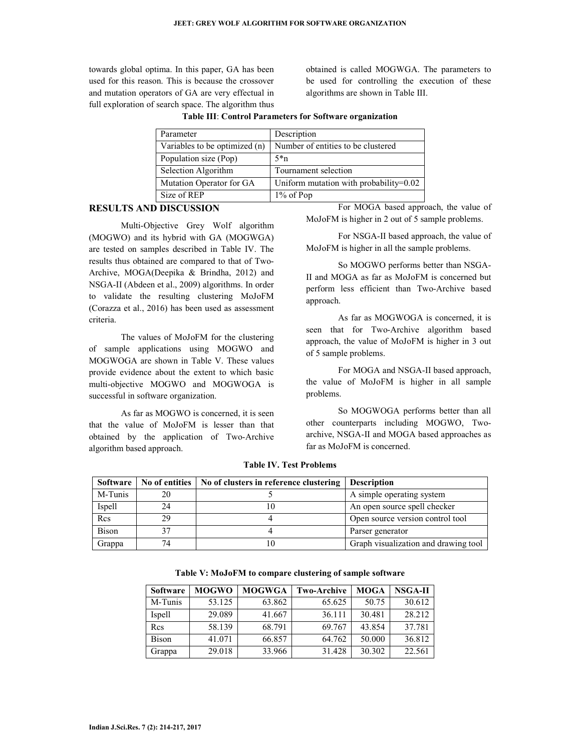towards global optima. In this paper, GA has been used for this reason. This is because the crossover and mutation operators of GA are very effectual in full exploration of search space. The algorithm thus obtained is called MOGWGA. The parameters to be used for controlling the execution of these algorithms are shown in Table III.

| Parameter                     | Description                            |  |  |
|-------------------------------|----------------------------------------|--|--|
| Variables to be optimized (n) | Number of entities to be clustered     |  |  |
| Population size (Pop)         | $5\text{*}n$                           |  |  |
| Selection Algorithm           | Tournament selection                   |  |  |
| Mutation Operator for GA      | Uniform mutation with probability=0.02 |  |  |
| Size of REP                   | $1\%$ of Pop                           |  |  |

#### **Table III**: **Control Parameters for Software organization**

#### **RESULTS AND DISCUSSION**

 Multi-Objective Grey Wolf algorithm (MOGWO) and its hybrid with GA (MOGWGA) are tested on samples described in Table IV. The results thus obtained are compared to that of Two-Archive, MOGA(Deepika & Brindha, 2012) and NSGA-II (Abdeen et al., 2009) algorithms. In order to validate the resulting clustering MoJoFM (Corazza et al., 2016) has been used as assessment criteria.

 The values of MoJoFM for the clustering of sample applications using MOGWO and MOGWOGA are shown in Table V. These values provide evidence about the extent to which basic multi-objective MOGWO and MOGWOGA is successful in software organization.

 As far as MOGWO is concerned, it is seen that the value of MoJoFM is lesser than that obtained by the application of Two-Archive algorithm based approach.

 For MOGA based approach, the value of MoJoFM is higher in 2 out of 5 sample problems.

 For NSGA-II based approach, the value of MoJoFM is higher in all the sample problems.

 So MOGWO performs better than NSGA-II and MOGA as far as MoJoFM is concerned but perform less efficient than Two-Archive based approach.

 As far as MOGWOGA is concerned, it is seen that for Two-Archive algorithm based approach, the value of MoJoFM is higher in 3 out of 5 sample problems.

 For MOGA and NSGA-II based approach, the value of MoJoFM is higher in all sample problems.

 So MOGWOGA performs better than all other counterparts including MOGWO, Twoarchive, NSGA-II and MOGA based approaches as far as MoJoFM is concerned.

| Software     |    | No of entities   No of clusters in reference clustering | <b>Description</b>                   |
|--------------|----|---------------------------------------------------------|--------------------------------------|
| M-Tunis      | 20 |                                                         | A simple operating system            |
| Ispell       | 24 |                                                         | An open source spell checker         |
| Rcs          | 29 |                                                         | Open source version control tool     |
| <b>Bison</b> |    |                                                         | Parser generator                     |
| Grappa       | 74 |                                                         | Graph visualization and drawing tool |

**Table IV. Test Problems** 

| Table V: MoJoFM to compare clustering of sample software |  |  |
|----------------------------------------------------------|--|--|
|----------------------------------------------------------|--|--|

| <b>Software</b> | <b>MOGWO</b> | <b>MOGWGA</b> | <b>Two-Archive</b> | <b>MOGA</b> | NSGA-II |
|-----------------|--------------|---------------|--------------------|-------------|---------|
| M-Tunis         | 53.125       | 63.862        | 65.625             | 50.75       | 30.612  |
| Ispell          | 29.089       | 41.667        | 36.111             | 30.481      | 28.212  |
| Rcs             | 58.139       | 68.791        | 69.767             | 43.854      | 37.781  |
| <b>Bison</b>    | 41.071       | 66.857        | 64.762             | 50.000      | 36.812  |
| Grappa          | 29.018       | 33.966        | 31.428             | 30.302      | 22.561  |